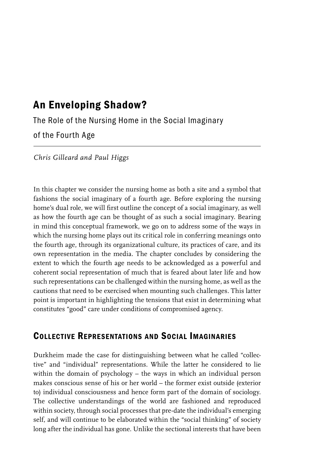# An Enveloping Shadow?

The Role of the Nursing Home in the Social Imaginary

of the Fourth Age

*Chris Gilleard and Paul Higgs*

In this chapter we consider the nursing home as both a site and a symbol that fashions the social imaginary of a fourth age. Before exploring the nursing home's dual role, we will first outline the concept of a social imaginary, as well as how the fourth age can be thought of as such a social imaginary. Bearing in mind this conceptual framework, we go on to address some of the ways in which the nursing home plays out its critical role in conferring meanings onto the fourth age, through its organizational culture, its practices of care, and its own representation in the media. The chapter concludes by considering the extent to which the fourth age needs to be acknowledged as a powerful and coherent social representation of much that is feared about later life and how such representations can be challenged within the nursing home, as well as the cautions that need to be exercised when mounting such challenges. This latter point is important in highlighting the tensions that exist in determining what constitutes "good" care under conditions of compromised agency.

# Collective Representations and Social Imaginaries

Durkheim made the case for distinguishing between what he called "collective" and "individual" representations. While the latter he considered to lie within the domain of psychology – the ways in which an individual person makes conscious sense of his or her world – the former exist outside (exterior to) individual consciousness and hence form part of the domain of sociology. The collective understandings of the world are fashioned and reproduced within society, through social processes that pre-date the individual's emerging self, and will continue to be elaborated within the "social thinking" of society long after the individual has gone. Unlike the sectional interests that have been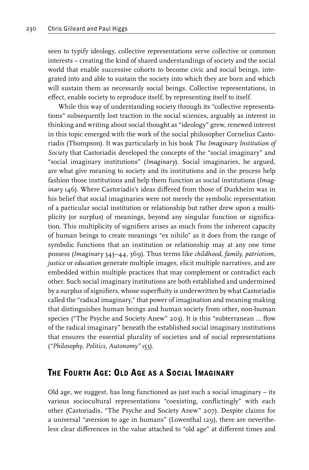seen to typify ideology, collective representations serve collective or common interests – creating the kind of shared understandings of society and the social world that enable successive cohorts to become civic and social beings, integrated into and able to sustain the society into which they are born and which will sustain them as necessarily social beings. Collective representations, in effect, enable society to reproduce itself, by representing itself to itself.

While this way of understanding society through its "collective representations" subsequently lost traction in the social sciences, arguably as interest in thinking and writing about social thought as "ideology" grew, renewed interest in this topic emerged with the work of the social philosopher Cornelius Castoriadis (Thompson). It was particularly in his book *The Imaginary Institution of Society* that Castoriadis developed the concepts of the "social imaginary" and "social imaginary institutions" (*Imaginary*). Social imaginaries, he argued, are what give meaning to society and its institutions and in the process help fashion those institutions and help them function as social institutions (*Imaginary* 146). Where Castoriadis's ideas differed from those of Durkheim was in his belief that social imaginaries were not merely the symbolic representation of a particular social institution or relationship but rather drew upon a multiplicity (or surplus) of meanings, beyond any singular function or signification. This multiplicity of signifiers arises as much from the inherent capacity of human beings to create meanings "ex nihilo" as it does from the range of symbolic functions that an institution or relationship may at any one time possess (*Imaginary* 343–44, 369). Thus terms like *childhood, family*, *patriotism*, *justice* or *education* generate multiple images, elicit multiple narratives, and are embedded within multiple practices that may complement or contradict each other. Such social imaginary institutions are both established and undermined by a surplus of signifiers, whose superfluity is underwritten by what Castoriadis called the "radical imaginary," that power of imagination and meaning making that distinguishes human beings and human society from other, non-human species ("The Psyche and Society Anew" 203). It is this "subterranean … flow of the radical imaginary" beneath the established social imaginary institutions that ensures the essential plurality of societies and of social representations (*"Philosophy, Politics, Autonomy"* 153).

# The Fourth Age: Old Age as a Social Imaginary

Old age, we suggest, has long functioned as just such a social imaginary – its various sociocultural representations "coexisting, conflictingly" with each other (Castoriadis, "The Psyche and Society Anew" 207). Despite claims for a universal "aversion to age in humans" (Lowenthal 129), there are nevertheless clear differences in the value attached to "old age" at different times and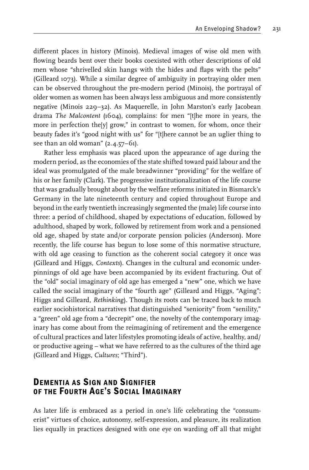different places in history (Minois). Medieval images of wise old men with flowing beards bent over their books coexisted with other descriptions of old men whose "shrivelled skin hangs with the hides and flaps with the pelts" (Gilleard 1073). While a similar degree of ambiguity in portraying older men can be observed throughout the pre-modern period (Minois), the portrayal of older women as women has been always less ambiguous and more consistently negative (Minois 229–32). As Maquerelle, in John Marston's early Jacobean drama *The Malcontent* (1604), complains: for men "[t]he more in years, the more in perfection the[y] grow," in contrast to women, for whom, once their beauty fades it's "good night with us" for "[t]here cannot be an uglier thing to see than an old woman"  $(2.4.57-61)$ .

Rather less emphasis was placed upon the appearance of age during the modern period, as the economies of the state shifted toward paid labour and the ideal was promulgated of the male breadwinner "providing" for the welfare of his or her family (Clark). The progressive institutionalization of the life course that was gradually brought about by the welfare reforms initiated in Bismarck's Germany in the late nineteenth century and copied throughout Europe and beyond in the early twentieth increasingly segmented the (male) life course into three: a period of childhood, shaped by expectations of education, followed by adulthood, shaped by work, followed by retirement from work and a pensioned old age, shaped by state and/or corporate pension policies (Anderson). More recently, the life course has begun to lose some of this normative structure, with old age ceasing to function as the coherent social category it once was (Gilleard and Higgs, *Contexts*). Changes in the cultural and economic underpinnings of old age have been accompanied by its evident fracturing. Out of the "old" social imaginary of old age has emerged a "new" one, which we have called the social imaginary of the "fourth age" (Gilleard and Higgs, "Aging"; Higgs and Gilleard, *Rethinking*). Though its roots can be traced back to much earlier sociohistorical narratives that distinguished "seniority" from "senility," a "green" old age from a "decrepit" one, the novelty of the contemporary imaginary has come about from the reimagining of retirement and the emergence of cultural practices and later lifestyles promoting ideals of active, healthy, and/ or productive ageing – what we have referred to as the cultures of the third age (Gilleard and Higgs, *Cultures*; "Third").

#### Dementia as Sign and Signifier of the Fourth Age's Social Imaginary

As later life is embraced as a period in one's life celebrating the "consumerist" virtues of choice, autonomy, self-expression, and pleasure, its realization lies equally in practices designed with one eye on warding off all that might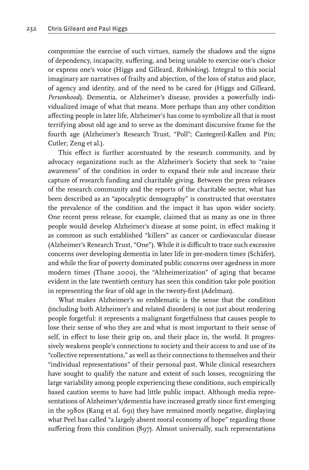compromise the exercise of such virtues, namely the shadows and the signs of dependency, incapacity, suffering, and being unable to exercise one's choice or express one's voice (Higgs and Gilleard, *Rethinking*). Integral to this social imaginary are narratives of frailty and abjection, of the loss of status and place, of agency and identity, and of the need to be cared for (Higgs and Gilleard, *Personhood*). Dementia, or Alzheimer's disease, provides a powerfully individualized image of what that means. More perhaps than any other condition affecting people in later life, Alzheimer's has come to symbolize all that is most terrifying about old age and to serve as the dominant discursive frame for the fourth age (Alzheimer's Research Trust, "Poll"; Cantegreil-Kallen and Pin; Cutler; Zeng et al.).

This effect is further accentuated by the research community, and by advocacy organizations such as the Alzheimer's Society that seek to "raise awareness" of the condition in order to expand their role and increase their capture of research funding and charitable giving. Between the press releases of the research community and the reports of the charitable sector, what has been described as an "apocalyptic demography" is constructed that overstates the prevalence of the condition and the impact it has upon wider society. One recent press release, for example, claimed that as many as one in three people would develop Alzheimer's disease at some point, in effect making it as common as such established "killers" as cancer or cardiovascular disease (Alzheimer's Research Trust, "One"). While it is difficult to trace such excessive concerns over developing dementia in later life in pre-modern times (Schäfer), and while the fear of poverty dominated public concerns over agedness in more modern times (Thane 2000), the "Alzheimerization" of aging that became evident in the late twentieth century has seen this condition take pole position in representing the fear of old age in the twenty-first (Adelman).

What makes Alzheimer's so emblematic is the sense that the condition (including both Alzheimer's and related disorders) is not just about rendering people forgetful: it represents a malignant forgetfulness that causes people to lose their sense of who they are and what is most important to their sense of self, in effect to lose their grip on, and their place in, the world. It progressively weakens people's connections to society and their access to and use of its "collective representations," as well as their connections to themselves and their "individual representations" of their personal past. While clinical researchers have sought to qualify the nature and extent of such losses, recognizing the large variability among people experiencing these conditions, such empirically based caution seems to have had little public impact. Although media representations of Alzheimer's/dementia have increased greatly since first emerging in the 1980s (Kang et al. 691) they have remained mostly negative, displaying what Peel has called "a largely absent moral economy of hope" regarding those suffering from this condition (897). Almost universally, such representations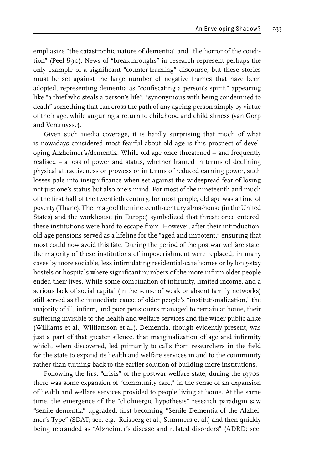emphasize "the catastrophic nature of dementia" and "the horror of the condition" (Peel 890). News of "breakthroughs" in research represent perhaps the only example of a significant "counter-framing" discourse, but these stories must be set against the large number of negative frames that have been adopted, representing dementia as "confiscating a person's spirit," appearing like "a thief who steals a person's life", "synonymous with being condemned to death" something that can cross the path of any ageing person simply by virtue of their age, while auguring a return to childhood and childishness (van Gorp and Vercruysse).

Given such media coverage, it is hardly surprising that much of what is nowadays considered most fearful about old age is this prospect of developing Alzheimer's/dementia. While old age once threatened – and frequently realised – a loss of power and status, whether framed in terms of declining physical attractiveness or prowess or in terms of reduced earning power, such losses pale into insignificance when set against the widespread fear of losing not just one's status but also one's mind. For most of the nineteenth and much of the first half of the twentieth century, for most people, old age was a time of poverty (Thane). The image of the nineteenth-century alms-house (in the United States) and the workhouse (in Europe) symbolized that threat; once entered, these institutions were hard to escape from. However, after their introduction, old-age pensions served as a lifeline for the "aged and impotent," ensuring that most could now avoid this fate. During the period of the postwar welfare state, the majority of these institutions of impoverishment were replaced, in many cases by more sociable, less intimidating residential-care homes or by long-stay hostels or hospitals where significant numbers of the more infirm older people ended their lives. While some combination of infirmity, limited income, and a serious lack of social capital (in the sense of weak or absent family networks) still served as the immediate cause of older people's "institutionalization," the majority of ill, infirm, and poor pensioners managed to remain at home, their suffering invisible to the health and welfare services and the wider public alike (Williams et al.; Williamson et al.). Dementia, though evidently present, was just a part of that greater silence, that marginalization of age and infirmity which, when discovered, led primarily to calls from researchers in the field for the state to expand its health and welfare services in and to the community rather than turning back to the earlier solution of building more institutions.

Following the first "crisis" of the postwar welfare state, during the 1970s, there was some expansion of "community care," in the sense of an expansion of health and welfare services provided to people living at home. At the same time, the emergence of the "cholinergic hypothesis" research paradigm saw "senile dementia" upgraded, first becoming "Senile Dementia of the Alzheimer's Type" (SDAT; see, e.g., Reisberg et al., Summers et al.) and then quickly being rebranded as "Alzheimer's disease and related disorders" (ADRD; see,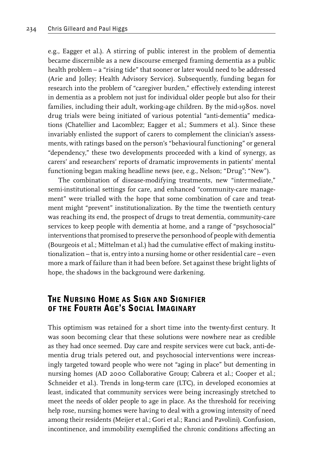e.g., Eagger et al.). A stirring of public interest in the problem of dementia became discernible as a new discourse emerged framing dementia as a public health problem – a "rising tide" that sooner or later would need to be addressed (Arie and Jolley; Health Advisory Service). Subsequently, funding began for research into the problem of "caregiver burden," effectively extending interest in dementia as a problem not just for individual older people but also for their families, including their adult, working-age children. By the mid-1980s. novel drug trials were being initiated of various potential "anti-dementia" medications (Chatellier and Lacomblez; Eagger et al.; Summers et al.). Since these invariably enlisted the support of carers to complement the clinician's assessments, with ratings based on the person's "behavioural functioning" or general "dependency," these two developments proceeded with a kind of synergy, as carers' and researchers' reports of dramatic improvements in patients' mental functioning began making headline news (see, e.g., Nelson; "Drug"; "New").

The combination of disease-modifying treatments, new "intermediate," semi-institutional settings for care, and enhanced "community-care management" were trialled with the hope that some combination of care and treatment might "prevent" institutionalization. By the time the twentieth century was reaching its end, the prospect of drugs to treat dementia, community-care services to keep people with dementia at home, and a range of "psychosocial" interventions that promised to preserve the personhood of people with dementia (Bourgeois et al.; Mittelman et al.) had the cumulative effect of making institutionalization – that is, entry into a nursing home or other residential care – even more a mark of failure than it had been before. Set against these bright lights of hope, the shadows in the background were darkening.

## The Nursing Home as Sign and Signifier of the Fourth Age's Social Imaginary

This optimism was retained for a short time into the twenty-first century. It was soon becoming clear that these solutions were nowhere near as credible as they had once seemed. Day care and respite services were cut back, anti-dementia drug trials petered out, and psychosocial interventions were increasingly targeted toward people who were not "aging in place" but dementing in nursing homes (AD 2000 Collaborative Group; Cabrera et al.; Cooper et al.; Schneider et al.). Trends in long-term care (LTC), in developed economies at least, indicated that community services were being increasingly stretched to meet the needs of older people to age in place. As the threshold for receiving help rose, nursing homes were having to deal with a growing intensity of need among their residents (Meijer et al.; Gori et al.; Ranci and Pavolini). Confusion, incontinence, and immobility exemplified the chronic conditions affecting an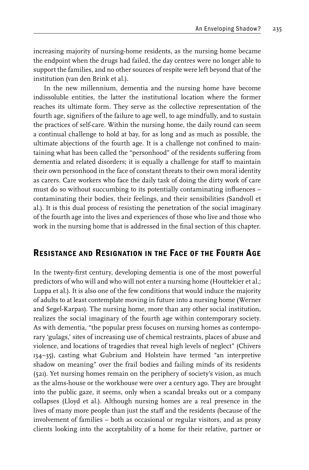increasing majority of nursing-home residents, as the nursing home became the endpoint when the drugs had failed, the day centres were no longer able to support the families, and no other sources of respite were left beyond that of the institution (van den Brink et al.).

In the new millennium, dementia and the nursing home have become indissoluble entities, the latter the institutional location where the former reaches its ultimate form. They serve as the collective representation of the fourth age, signifiers of the failure to age well, to age mindfully, and to sustain the practices of self-care. Within the nursing home, the daily round can seem a continual challenge to hold at bay, for as long and as much as possible, the ultimate abjections of the fourth age. It is a challenge not confined to maintaining what has been called the "personhood" of the residents suffering from dementia and related disorders; it is equally a challenge for staff to maintain their own personhood in the face of constant threats to their own moral identity as carers. Care workers who face the daily task of doing the dirty work of care must do so without succumbing to its potentially contaminating influences – contaminating their bodies, their feelings, and their sensibilities (Sandvoll et al.). It is this dual process of resisting the penetration of the social imaginary of the fourth age into the lives and experiences of those who live and those who work in the nursing home that is addressed in the final section of this chapter.

## Resistance and Resignation in the Face of the Fourth Age

In the twenty-first century, developing dementia is one of the most powerful predictors of who will and who will not enter a nursing home (Houttekier et al.; Luppa et al.). It is also one of the few conditions that would induce the majority of adults to at least contemplate moving in future into a nursing home (Werner and Segel-Karpas). The nursing home, more than any other social institution, realizes the social imaginary of the fourth age within contemporary society. As with dementia, "the popular press focuses on nursing homes as contemporary 'gulags,' sites of increasing use of chemical restraints, places of abuse and violence, and locations of tragedies that reveal high levels of neglect" (Chivers 134–35), casting what Gubrium and Holstein have termed "an interpretive shadow on meaning" over the frail bodies and failing minds of its residents (521). Yet nursing homes remain on the periphery of society's vision, as much as the alms-house or the workhouse were over a century ago. They are brought into the public gaze, it seems, only when a scandal breaks out or a company collapses (Lloyd et al.). Although nursing homes are a real presence in the lives of many more people than just the staff and the residents (because of the involvement of families – both as occasional or regular visitors, and as proxy clients looking into the acceptability of a home for their relative, partner or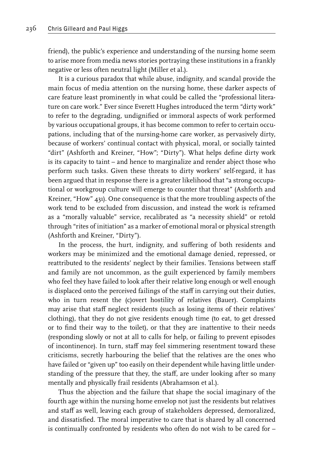friend), the public's experience and understanding of the nursing home seem to arise more from media news stories portraying these institutions in a frankly negative or less often neutral light (Miller et al.).

It is a curious paradox that while abuse, indignity, and scandal provide the main focus of media attention on the nursing home, these darker aspects of care feature least prominently in what could be called the "professional literature on care work." Ever since Everett Hughes introduced the term "dirty work" to refer to the degrading, undignified or immoral aspects of work performed by various occupational groups, it has become common to refer to certain occupations, including that of the nursing-home care worker, as pervasively dirty, because of workers' continual contact with physical, moral, or socially tainted "dirt" (Ashforth and Kreiner, "How"; "Dirty"). What helps define dirty work is its capacity to taint – and hence to marginalize and render abject those who perform such tasks. Given these threats to dirty workers' self-regard, it has been argued that in response there is a greater likelihood that "a strong occupational or workgroup culture will emerge to counter that threat" (Ashforth and Kreiner, "How" 431). One consequence is that the more troubling aspects of the work tend to be excluded from discussion, and instead the work is reframed as a "morally valuable" service, recalibrated as "a necessity shield" or retold through "rites of initiation" as a marker of emotional moral or physical strength (Ashforth and Kreiner, "Dirty").

In the process, the hurt, indignity, and suffering of both residents and workers may be minimized and the emotional damage denied, repressed, or reattributed to the residents' neglect by their families. Tensions between staff and family are not uncommon, as the guilt experienced by family members who feel they have failed to look after their relative long enough or well enough is displaced onto the perceived failings of the staff in carrying out their duties, who in turn resent the (c)overt hostility of relatives (Bauer). Complaints may arise that staff neglect residents (such as losing items of their relatives' clothing), that they do not give residents enough time (to eat, to get dressed or to find their way to the toilet), or that they are inattentive to their needs (responding slowly or not at all to calls for help, or failing to prevent episodes of incontinence). In turn, staff may feel simmering resentment toward these criticisms, secretly harbouring the belief that the relatives are the ones who have failed or "given up" too easily on their dependent while having little understanding of the pressure that they, the staff, are under looking after so many mentally and physically frail residents (Abrahamson et al.).

Thus the abjection and the failure that shape the social imaginary of the fourth age within the nursing home envelop not just the residents but relatives and staff as well, leaving each group of stakeholders depressed, demoralized, and dissatisfied. The moral imperative to care that is shared by all concerned is continually confronted by residents who often do not wish to be cared for –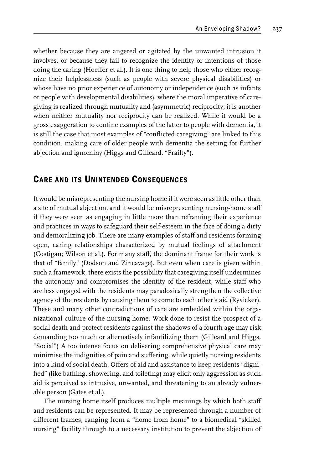whether because they are angered or agitated by the unwanted intrusion it involves, or because they fail to recognize the identity or intentions of those doing the caring (Hoeffer et al.). It is one thing to help those who either recognize their helplessness (such as people with severe physical disabilities) or whose have no prior experience of autonomy or independence (such as infants or people with developmental disabilities), where the moral imperative of caregiving is realized through mutuality and (asymmetric) reciprocity; it is another when neither mutuality nor reciprocity can be realized. While it would be a gross exaggeration to confine examples of the latter to people with dementia, it is still the case that most examples of "conflicted caregiving" are linked to this condition, making care of older people with dementia the setting for further abjection and ignominy (Higgs and Gilleard, "Frailty").

# **CARE AND ITS UNINTENDED CONSEQUENCES**

It would be misrepresenting the nursing home if it were seen as little other than a site of mutual abjection, and it would be misrepresenting nursing-home staff if they were seen as engaging in little more than reframing their experience and practices in ways to safeguard their self-esteem in the face of doing a dirty and demoralizing job. There are many examples of staff and residents forming open, caring relationships characterized by mutual feelings of attachment (Costigan; Wilson et al.). For many staff, the dominant frame for their work is that of "family" (Dodson and Zincavage). But even when care is given within such a framework, there exists the possibility that caregiving itself undermines the autonomy and compromises the identity of the resident, while staff who are less engaged with the residents may paradoxically strengthen the collective agency of the residents by causing them to come to each other's aid (Ryvicker). These and many other contradictions of care are embedded within the organizational culture of the nursing home. Work done to resist the prospect of a social death and protect residents against the shadows of a fourth age may risk demanding too much or alternatively infantilizing them (Gilleard and Higgs, "Social") A too intense focus on delivering comprehensive physical care may minimise the indignities of pain and suffering, while quietly nursing residents into a kind of social death. Offers of aid and assistance to keep residents "dignified" (like bathing, showering, and toileting) may elicit only aggression as such aid is perceived as intrusive, unwanted, and threatening to an already vulnerable person (Gates et al.).

The nursing home itself produces multiple meanings by which both staff and residents can be represented. It may be represented through a number of different frames, ranging from a "home from home" to a biomedical "skilled nursing" facility through to a necessary institution to prevent the abjection of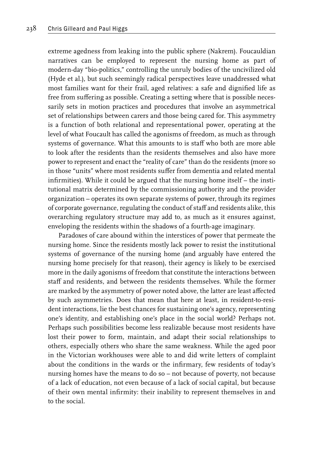extreme agedness from leaking into the public sphere (Nakrem). Foucauldian narratives can be employed to represent the nursing home as part of modern-day "bio-politics," controlling the unruly bodies of the uncivilized old (Hyde et al.), but such seemingly radical perspectives leave unaddressed what most families want for their frail, aged relatives: a safe and dignified life as free from suffering as possible. Creating a setting where that is possible necessarily sets in motion practices and procedures that involve an asymmetrical set of relationships between carers and those being cared for. This asymmetry is a function of both relational and representational power, operating at the level of what Foucault has called the agonisms of freedom, as much as through systems of governance. What this amounts to is staff who both are more able to look after the residents than the residents themselves and also have more power to represent and enact the "reality of care" than do the residents (more so in those "units" where most residents suffer from dementia and related mental infirmities). While it could be argued that the nursing home itself – the institutional matrix determined by the commissioning authority and the provider organization – operates its own separate systems of power, through its regimes of corporate governance, regulating the conduct of staff and residents alike, this overarching regulatory structure may add to, as much as it ensures against, enveloping the residents within the shadows of a fourth-age imaginary.

Paradoxes of care abound within the interstices of power that permeate the nursing home. Since the residents mostly lack power to resist the institutional systems of governance of the nursing home (and arguably have entered the nursing home precisely for that reason), their agency is likely to be exercised more in the daily agonisms of freedom that constitute the interactions between staff and residents, and between the residents themselves. While the former are marked by the asymmetry of power noted above, the latter are least affected by such asymmetries. Does that mean that here at least, in resident-to-resident interactions, lie the best chances for sustaining one's agency, representing one's identity, and establishing one's place in the social world? Perhaps not. Perhaps such possibilities become less realizable because most residents have lost their power to form, maintain, and adapt their social relationships to others, especially others who share the same weakness. While the aged poor in the Victorian workhouses were able to and did write letters of complaint about the conditions in the wards or the infirmary, few residents of today's nursing homes have the means to do so – not because of poverty, not because of a lack of education, not even because of a lack of social capital, but because of their own mental infirmity: their inability to represent themselves in and to the social.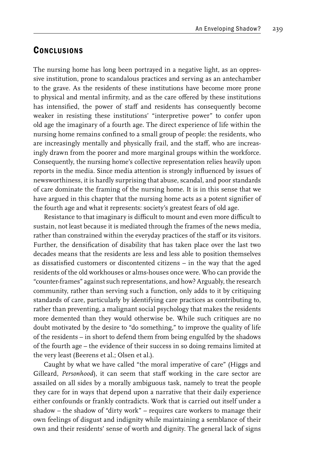## **CONCLUSIONS**

The nursing home has long been portrayed in a negative light, as an oppressive institution, prone to scandalous practices and serving as an antechamber to the grave. As the residents of these institutions have become more prone to physical and mental infirmity, and as the care offered by these institutions has intensified, the power of staff and residents has consequently become weaker in resisting these institutions' "interpretive power" to confer upon old age the imaginary of a fourth age. The direct experience of life within the nursing home remains confined to a small group of people: the residents, who are increasingly mentally and physically frail, and the staff, who are increasingly drawn from the poorer and more marginal groups within the workforce. Consequently, the nursing home's collective representation relies heavily upon reports in the media. Since media attention is strongly influenced by issues of newsworthiness, it is hardly surprising that abuse, scandal, and poor standards of care dominate the framing of the nursing home. It is in this sense that we have argued in this chapter that the nursing home acts as a potent signifier of the fourth age and what it represents: society's greatest fears of old age.

Resistance to that imaginary is difficult to mount and even more difficult to sustain, not least because it is mediated through the frames of the news media, rather than constrained within the everyday practices of the staff or its visitors. Further, the densification of disability that has taken place over the last two decades means that the residents are less and less able to position themselves as dissatisfied customers or discontented citizens – in the way that the aged residents of the old workhouses or alms-houses once were. Who can provide the "counter-frames" against such representations, and how? Arguably, the research community, rather than serving such a function, only adds to it by critiquing standards of care, particularly by identifying care practices as contributing to, rather than preventing, a malignant social psychology that makes the residents more demented than they would otherwise be. While such critiques are no doubt motivated by the desire to "do something," to improve the quality of life of the residents – in short to defend them from being engulfed by the shadows of the fourth age – the evidence of their success in so doing remains limited at the very least (Beerens et al.; Olsen et al.).

Caught by what we have called "the moral imperative of care" (Higgs and Gilleard, *Personhood*), it can seem that staff working in the care sector are assailed on all sides by a morally ambiguous task, namely to treat the people they care for in ways that depend upon a narrative that their daily experience either confounds or frankly contradicts. Work that is carried out itself under a shadow – the shadow of "dirty work" – requires care workers to manage their own feelings of disgust and indignity while maintaining a semblance of their own and their residents' sense of worth and dignity. The general lack of signs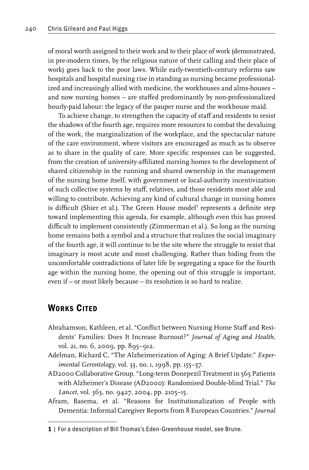of moral worth assigned to their work and to their place of work (demonstrated, in pre-modern times, by the religious nature of their calling and their place of work) goes back to the poor laws. While early-twentieth-century reforms saw hospitals and hospital nursing rise in standing as nursing became professionalized and increasingly allied with medicine, the workhouses and alms-houses – and now nursing homes – are staffed predominantly by non-professionalized hourly-paid labour: the legacy of the pauper nurse and the workhouse maid.

To achieve change, to strengthen the capacity of staff and residents to resist the shadows of the fourth age, requires more resources to combat the devaluing of the work, the marginalization of the workplace, and the spectacular nature of the care environment, where visitors are encouraged as much as to observe as to share in the quality of care. More specific responses can be suggested, from the creation of university-affiliated nursing homes to the development of shared citizenship in the running and shared ownership in the management of the nursing home itself, with government or local-authority incentivization of such collective systems by staff, relatives, and those residents most able and willing to contribute. Achieving any kind of cultural change in nursing homes is difficult (Shier et al.). The Green House model<sup>1</sup> represents a definite step toward implementing this agenda, for example, although even this has proved difficult to implement consistently (Zimmerman et al.). So long as the nursing home remains both a symbol and a structure that realizes the social imaginary of the fourth age, it will continue to be the site where the struggle to resist that imaginary is most acute and most challenging. Rather than hiding from the uncomfortable contradictions of later life by segregating a space for the fourth age within the nursing home, the opening out of this struggle is important, even if – or most likely because – its resolution is so hard to realize.

## Works Cited

- Abrahamson, Kathleen, et al. "Conflict between Nursing Home Staff and Residents' Families: Does It Increase Burnout?" *Journal of Aging and Health*, vol. 21, no. 6, 2009, pp. 895–912.
- Adelman, Richard C. "The Alzheimerization of Aging: A Brief Update." *Experimental Gerontology*, vol. 33, no. 1, 1998, pp. 155–57.
- AD2000 Collaborative Group. "Long-term Donepezil Treatment in 565 Patients with Alzheimer's Disease (AD2000): Randomised Double-blind Trial." *The Lancet*, vol. 363, no. 9427, 2004, pp. 2105–15.
- Afram, Basema, et al. "Reasons for Institutionalization of People with Dementia: Informal Caregiver Reports from 8 European Countries." *Journal*

<sup>1 |</sup> For a description of Bill Thomas's Eden-Greenhouse model, see Brune.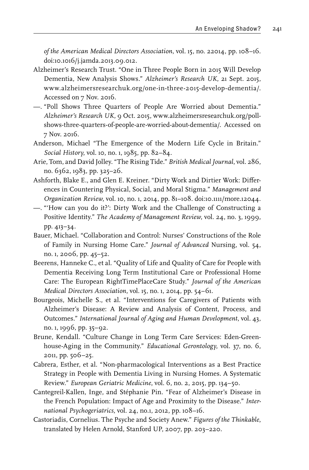*of the American Medical Directors Association*, vol. 15, no. 22014, pp. 108–16. doi:10.1016/j.jamda.2013.09.012.

- Alzheimer's Research Trust. "One in Three People Born in 2015 Will Develop Dementia, New Analysis Shows." *Alzheimer's Research UK*, 21 Sept. 2015, [www.alzheimersresearchuk.org/one-in-three-2015-develop-dementia/](http://www.alzheimersresearchuk.org/one-in-three-2015-develop-dementia/). Accessed on 7 Nov. 2016.
- —. "Poll Shows Three Quarters of People Are Worried about Dementia." *Alzheimer's Research UK*, 9 Oct. 2015, [www.alzheimersresearchuk.org/poll](http://www.alzheimersresearchuk.org/poll-shows-three-quarters-of-people-are-worried-about-dementia/)[shows-three-quarters-of-people-are-worried-about-dementia/](http://www.alzheimersresearchuk.org/poll-shows-three-quarters-of-people-are-worried-about-dementia/). Accessed on 7 Nov. 2016.
- Anderson, Michael "The Emergence of the Modern Life Cycle in Britain." *Social History*, vol. 10, no. 1, 1985, pp. 82–84.
- Arie, Tom, and David Jolley. "The Rising Tide." *British Medical Journal*, vol. 286, no. 6362, 1983, pp. 325–26.
- Ashforth, Blake E., and Glen E. Kreiner. "Dirty Work and Dirtier Work: Differences in Countering Physical, Social, and Moral Stigma." *Management and Organization Review*, vol. 10, no. 1, 2014, pp. 81–108. doi:10.1111/more.12044.
- —. "'How can you do it?': Dirty Work and the Challenge of Constructing a Positive Identity." *The Academy of Management Review*, vol. 24, no. 3, 1999, pp. 413–34.
- Bauer, Michael. "Collaboration and Control: Nurses' Constructions of the Role of Family in Nursing Home Care." *Journal of Advanced* Nursing, vol. 54, no. 1, 2006, pp. 45–52.
- Beerens, Hanneke C., et al. "Quality of Life and Quality of Care for People with Dementia Receiving Long Term Institutional Care or Professional Home Care: The European RightTimePlaceCare Study." *Journal of the American Medical Directors Association*, vol. 15, no. 1, 2014, pp. 54–61.
- Bourgeois, Michelle S., et al. "Interventions for Caregivers of Patients with Alzheimer's Disease: A Review and Analysis of Content, Process, and Outcomes." *International Journal of Aging and Human Development*, vol. 43, no. 1, 1996, pp. 35–92.
- Brune, Kendall. "Culture Change in Long Term Care Services: Eden-Greenhouse-Aging in the Community." *Educational Gerontology*, vol. 37, no. 6, 2011, pp. 506–25.
- Cabrera, Esther, et al. "Non-pharmacological Interventions as a Best Practice Strategy in People with Dementia Living in Nursing Homes. A Systematic Review." *European Geriatric Medicine*, vol. 6, no. 2, 2015, pp. 134–50.
- Cantegreil-Kallen, Inge, and Stéphanie Pin. "Fear of Alzheimer's Disease in the French Population: Impact of Age and Proximity to the Disease." *International Psychogeriatrics*, vol. 24, no.1, 2012, pp. 108–16.
- Castoriadis, Cornelius. The Psyche and Society Anew." *Figures of the Thinkable*, translated by Helen Arnold, Stanford UP, 2007, pp. 203–220.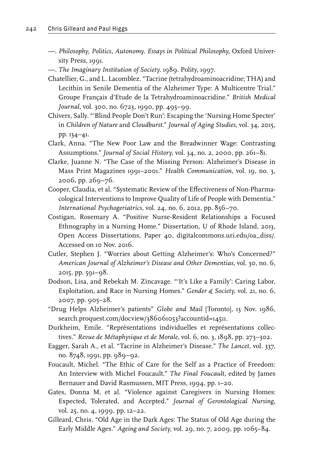- —. *Philosophy, Politics, Autonomy. Essays in Political Philosophy*, Oxford University Press, 1991.
- —. *The Imaginary Institution of Society*. 1989. Polity, 1997.
- Chatellier, G., and L. Lacomblez. "Tacrine (tetrahydroaminoacridine; THA) and Lecithin in Senile Dementia of the Alzheimer Type: A Multicentre Trial." Groupe Français d'Etude de la Tetrahydroaminoacridine." *British Medical Journal*, vol. 300, no. 6723, 1990, pp. 495–99.
- Chivers, Sally. "'Blind People Don't Run': Escaping the 'Nursing Home Specter' in *Children of Nature* and *Cloudburst*." *Journal of Aging Studies*, vol. 34, 2015, pp. 134–41.
- Clark, Anna. "The New Poor Law and the Breadwinner Wage: Contrasting Assumptions." *Journal of Social History*, vol. 34, no. 2, 2000, pp. 261–81.
- Clarke, Juanne N. "The Case of the Missing Person: Alzheimer's Disease in Mass Print Magazines 1991–2001." *Health Communication*, vol. 19, no. 3, 2006, pp. 269–76.
- Cooper, Claudia, et al. "Systematic Review of the Effectiveness of Non-Pharmacological Interventions to Improve Quality of Life of People with Dementia." *International Psychogeriatrics*, vol. 24, no. 6, 2012, pp. 856–70.
- Costigan, Rosemary A. "Positive Nurse-Resident Relationships a Focused Ethnography in a Nursing Home." Dissertation, U of Rhode Island, 2013, Open Access Dissertations, Paper 40, [digitalcommons.uri.edu/oa\\_diss/.](http://digitalcommons.uri.edu/oa_diss/) Accessed on 10 Nov. 2016.
- Cutler, Stephen J. "Worries about Getting Alzheimer's: Who's Concerned?" *American Journal of Alzheimer's Disease and Other Dementias*, vol. 30, no. 6, 2015, pp. 591–98.
- Dodson, Lisa, and Rebekah M. Zincavage. "'It's Like a Family': Caring Labor, Exploitation, and Race in Nursing Homes." *Gender & Society*, vol. 21, no. 6, 2007, pp. 905–28.
- "Drug Helps Alzheimer's patients" *Globe and Mail* [Toronto], 13 Nov. 1986, [search.proquest.com/docview/386061053?accountid=14511](http://search.proquest.com/docview/386061053%3Faccountid%3D14511).
- Durkheim, Emile. "Représentations individuelles et représentations collectives." *Revue de Métaphysique et de Morale*, vol. 6, no. 3, 1898, pp. 273–302.
- Eagger, Sarah A., et al. "Tacrine in Alzheimer's Disease." *The Lancet*, vol. 337, no. 8748, 1991, pp. 989–92.
- Foucault, Michel. "The Ethic of Care for the Self as a Practice of Freedom: An Interview with Michel Foucault." *The Final Foucault*, edited by James Bernauer and David Rasmussen, MIT Press, 1994, pp. 1–20.
- Gates, Donna M, et al. "Violence against Caregivers in Nursing Homes: Expected, Tolerated, and Accepted." *Journal of Gerontological Nursing*, vol. 25, no. 4, 1999, pp. 12–22.
- Gilleard, Chris. "Old Age in the Dark Ages: The Status of Old Age during the Early Middle Ages." *Ageing and Society*, vol. 29, no. 7, 2009, pp. 1065–84.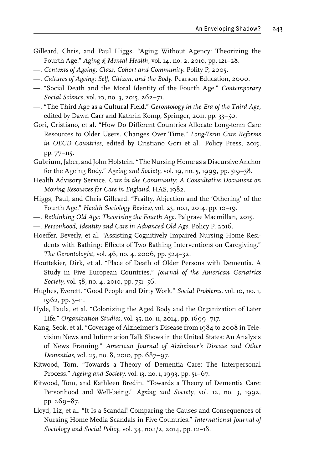- Gilleard, Chris, and Paul Higgs. "Aging Without Agency: Theorizing the Fourth Age." *Aging & Mental Health*, vol. 14, no. 2, 2010, pp. 121–28.
- —. *Contexts of Ageing: Class, Cohort and Community.* Polity P, 2005.
- —. *Cultures of Ageing: Self, Citizen, and the Body*. Pearson Education, 2000.
- —. "Social Death and the Moral Identity of the Fourth Age." *Contemporary Social Science*, vol. 10, no. 3, 2015, 262–71.
- —. "The Third Age as a Cultural Field." *Gerontology in the Era of the Third Age,* edited by Dawn Carr and Kathrin Komp, Springer, 2011, pp. 33–50.
- Gori, Cristiano, et al. "How Do Different Countries Allocate Long-term Care Resources to Older Users. Changes Over Time." *Long-Term Care Reforms in OECD Countries*, edited by Cristiano Gori et al., Policy Press, 2015, pp. 77–115.
- Gubrium, Jaber, and John Holstein. "The Nursing Home as a Discursive Anchor for the Ageing Body." *Ageing and Society*, vol. 19, no. 5, 1999, pp. 519–38.
- Health Advisory Service. *Care in the Community: A Consultative Document on Moving Resources for Care in England*. HAS, 1982.
- Higgs, Paul, and Chris Gilleard. "Frailty, Abjection and the 'Othering' of the Fourth Age." *Health Sociology Review*, vol. 23, no.1, 2014, pp. 10–19.
- —. *Rethinking Old Age: Theorising the Fourth Age.* Palgrave Macmillan, 2015.
- —. *Personhood, Identity and Care in Advanced Old Age*. Policy P, 2016.
- Hoeffer, Beverly, et al. "Assisting Cognitively Impaired Nursing Home Residents with Bathing: Effects of Two Bathing Interventions on Caregiving." *The Gerontologist*, vol. 46, no. 4, 2006, pp. 524–32.
- Houttekier, Dirk, et al. "Place of Death of Older Persons with Dementia. A Study in Five European Countries." *Journal of the American Geriatrics Society*, vol. 58, no. 4, 2010, pp. 751–56.
- Hughes, Everett. "Good People and Dirty Work." *Social Problems*, vol. 10, no. 1, 1962, pp. 3–11.
- Hyde, Paula, et al. "Colonizing the Aged Body and the Organization of Later Life." *Organization Studies*, vol. 35, no. 11, 2014, pp. 1699–717.
- Kang, Seok, et al. "Coverage of Alzheimer's Disease from 1984 to 2008 in Television News and Information Talk Shows in the United States: An Analysis of News Framing." *American Journal of Alzheimer's Disease and Other Dementias*, vol. 25, no. 8, 2010, pp. 687–97.
- Kitwood, Tom. "Towards a Theory of Dementia Care: The Interpersonal Process." *Ageing and Society*, vol. 13, no. 1, 1993, pp. 51–67.
- Kitwood, Tom, and Kathleen Bredin. "Towards a Theory of Dementia Care: Personhood and Well-being." *Ageing and Society*, vol. 12, no. 3, 1992, pp. 269–87.
- Lloyd, Liz, et al. "It Is a Scandal! Comparing the Causes and Consequences of Nursing Home Media Scandals in Five Countries." *International Journal of Sociology and Social Policy*, vol. 34, no.1/2, 2014, pp. 12–18.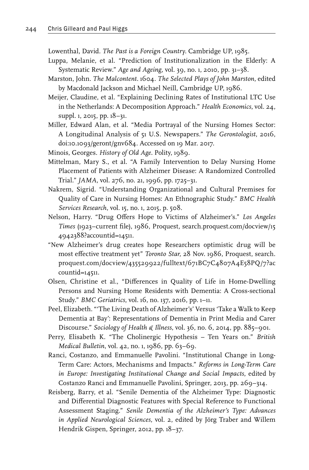Lowenthal, David. *The Past is a Foreign Country*. Cambridge UP, 1985.

- Luppa, Melanie, et al. "Prediction of Institutionalization in the Elderly: A Systematic Review." *Age and Ageing*, vol. 39, no. 1, 2010, pp. 31–38.
- Marston, John. *The Malcontent*. 1604. *The Selected Plays of John Marston*, edited by Macdonald Jackson and Michael Neill, Cambridge UP, 1986.
- Meijer, Claudine, et al. "Explaining Declining Rates of Institutional LTC Use in the Netherlands: A Decomposition Approach." *Health Economics*, vol. 24, suppl. 1, 2015, pp. 18–31.
- Miller, Edward Alan, et al. "Media Portrayal of the Nursing Homes Sector: A Longitudinal Analysis of 51 U.S. Newspapers." *The Gerontologist*, 2016, doi:10.1093/geront/gnv684. Accessed on 19 Mar. 2017.
- Minois, Georges. *History of Old Age.* Polity, 1989.
- Mittelman, Mary S., et al. "A Family Intervention to Delay Nursing Home Placement of Patients with Alzheimer Disease: A Randomized Controlled Trial." *JAMA*, vol. 276, no. 21, 1996, pp. 1725–31.
- Nakrem, Sigrid. "Understanding Organizational and Cultural Premises for Quality of Care in Nursing Homes: An Ethnographic Study." *BMC Health Services Research*, vol. 15, no. 1, 2015, p. 508.
- Nelson, Harry. "Drug Offers Hope to Victims of Alzheimer's." *Los Angeles Times* (1923–current file), 1986, Proquest, [search.proquest.com/docview/15](http://search.proquest.com/docview/154942388?accountid=14511) [4942388?accountid=14511.](http://search.proquest.com/docview/154942388?accountid=14511)
- "New Alzheimer's drug creates hope Researchers optimistic drug will be most effective treatment yet" *Toronto Star*, 28 Nov. 1986, Proquest, [search.](http://search.proquest.com/docview/435529922/fulltext/671BC7C4807A4E58PQ/7?accountid=14511) [proquest.com/docview/435529922/fulltext/671BC7C4807A4E58PQ/7?ac](http://search.proquest.com/docview/435529922/fulltext/671BC7C4807A4E58PQ/7?accountid=14511) [countid=14511.](http://search.proquest.com/docview/435529922/fulltext/671BC7C4807A4E58PQ/7?accountid=14511)
- Olsen, Christine et al., "Differences in Quality of Life in Home-Dwelling Persons and Nursing Home Residents with Dementia: A Cross-sectional Study." *BMC Geriatrics*, vol. 16, no. 137, 2016, pp. 1–11.
- Peel, Elizabeth. "'The Living Death of Alzheimer's' Versus 'Take a Walk to Keep Dementia at Bay': Representations of Dementia in Print Media and Carer Discourse." *Sociology of Health & Illness*, vol. 36, no. 6, 2014, pp. 885–901.
- Perry, Elisabeth K. "The Cholinergic Hypothesis Ten Years on." *British Medical Bulletin*, vol. 42, no. 1, 1986, pp. 63–69.
- Ranci, Costanzo, and Emmanuelle Pavolini. "Institutional Change in Long-Term Care: Actors, Mechanisms and Impacts." *Reforms in Long-Term Care in Europe: Investigating Institutional Change and Social Impacts*, edited by Costanzo Ranci and Emmanuelle Pavolini, Springer, 2013, pp. 269–314.
- Reisberg, Barry, et al. "Senile Dementia of the Alzheimer Type: Diagnostic and Differential Diagnostic Features with Special Reference to Functional Assessment Staging." *Senile Dementia of the Alzheimer's Type: Advances in Applied Neurological Sciences*, vol. 2, edited by Jörg Traber and Willem Hendrik Gispen, Springer, 2012, pp. 18–37.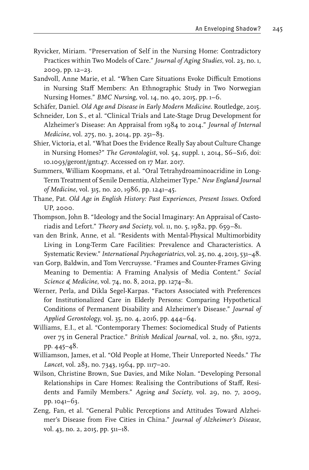- Ryvicker, Miriam. "Preservation of Self in the Nursing Home: Contradictory Practices within Two Models of Care." *Journal of Aging Studies*, vol. 23, no. 1, 2009, pp. 12–23.
- Sandvoll, Anne Marie, et al. "When Care Situations Evoke Difficult Emotions in Nursing Staff Members: An Ethnographic Study in Two Norwegian Nursing Homes." *BMC Nursing*, vol. 14, no. 40, 2015, pp. 1–6.

Schäfer, Daniel. *Old Age and Disease in Early Modern Medicine*. Routledge, 2015.

- Schneider, Lon S., et al. "Clinical Trials and Late-Stage Drug Development for Alzheimer's Disease: An Appraisal from 1984 to 2014." *Journal of Internal Medicine*, vol. 275, no. 3, 2014, pp. 251–83.
- Shier, Victoria, et al. "What Does the Evidence Really Say about Culture Change in Nursing Homes?" *The Gerontologist*, vol. 54, suppl. 1, 2014, S6–S16, doi: 10.1093/geront/gnt147. Accessed on 17 Mar. 2017.
- Summers, William Koopmans, et al. "Oral Tetrahydroaminoacridine in Long-Term Treatment of Senile Dementia, Alzheimer Type." *New England Journal of Medicine*, vol. 315, no. 20, 1986, pp. 1241–45.
- Thane, Pat. *Old Age in English History: Past Experiences, Present Issues*. Oxford UP, 2000.
- Thompson, John B. "Ideology and the Social Imaginary: An Appraisal of Castoriadis and Lefort." *Theory and Society*, vol. 11, no. 5, 1982, pp. 659–81.
- van den Brink, Anne, et al. "Residents with Mental-Physical Multimorbidity Living in Long-Term Care Facilities: Prevalence and Characteristics. A Systematic Review." *International Psychogeriatrics*, vol. 25, no. 4, 2013, 531–48.
- van Gorp, Baldwin, and Tom Vercruysse. "Frames and Counter-Frames Giving Meaning to Dementia: A Framing Analysis of Media Content." *Social Science & Medicine*, vol. 74, no. 8, 2012, pp. 1274–81.
- Werner, Perla, and Dikla Segel-Karpas. "Factors Associated with Preferences for Institutionalized Care in Elderly Persons: Comparing Hypothetical Conditions of Permanent Disability and Alzheimer's Disease." *Journal of Applied Gerontology*, vol. 35, no. 4, 2016, pp. 444–64.
- Williams, E.I., et al. "Contemporary Themes: Sociomedical Study of Patients over 75 in General Practice." *British Medical Journal*, vol. 2, no. 5811, 1972, pp. 445–48.
- Williamson, James, et al. "Old People at Home, Their Unreported Needs." *The Lancet*, vol. 283, no. 7343, 1964, pp. 1117–20.
- Wilson, Christine Brown, Sue Davies, and Mike Nolan. "Developing Personal Relationships in Care Homes: Realising the Contributions of Staff, Residents and Family Members." *Ageing and Society*, vol. 29, no. 7, 2009, pp. 1041–63.
- Zeng, Fan, et al. "General Public Perceptions and Attitudes Toward Alzheimer's Disease from Five Cities in China." *Journal of Alzheimer's Disease*, vol. 43, no. 2, 2015, pp. 511–18.